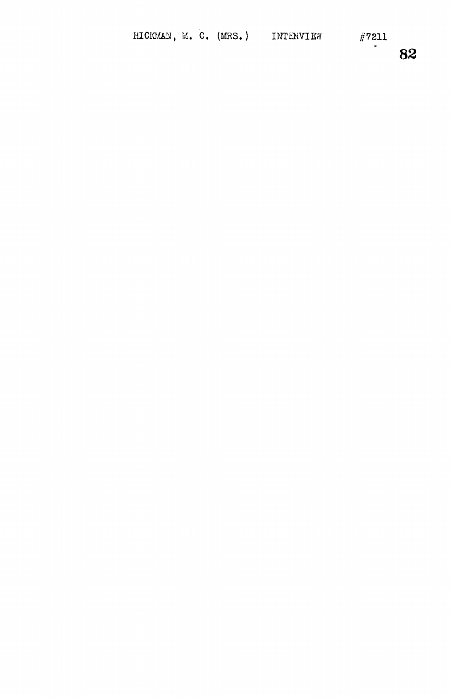**82**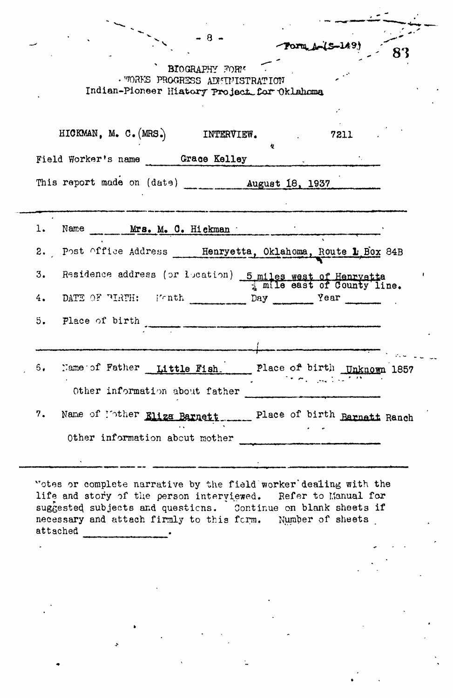**AWA** 

83

BIOGRAPHY *FORM* . WORKS PROGRESS ADMITISTRATION Indian-Pioneer Hiatory Project for Oklahoma

| HICKMAN, M. C. (MRS.) INTERVIEW.                                                                                                                     | 7211<br>÷.                  |
|------------------------------------------------------------------------------------------------------------------------------------------------------|-----------------------------|
| Field Worker's name Grace Kelley                                                                                                                     |                             |
|                                                                                                                                                      |                             |
| .<br>The stage of the first stage of the company of the first stage of the company of the company of the company of<br>Name Mrs. M. O. Hickman<br>1. |                             |
| Post office Address _____ Henryetta, Oklahoma, Route 1, Box 84B<br>2.                                                                                |                             |
| Residence address (or location) 5 miles west of Henrystta<br>3.                                                                                      | 2 mile east of County line. |
| DATE OF "IRTH: Fonth Day Day Year<br>4.                                                                                                              |                             |
| 5.                                                                                                                                                   |                             |
|                                                                                                                                                      |                             |
| Mame of Father Little Fish. Place of birth Unknown 1857<br>6.                                                                                        |                             |
| Other information about father                                                                                                                       |                             |
| 7.<br>Name of lither Eliza Barnett Place of birth Barnatt Ranch                                                                                      |                             |
| Other information about mother                                                                                                                       |                             |
|                                                                                                                                                      |                             |
| "otes or complete narrative by the field morker dealing with the                                                                                     |                             |

\* otes or complete narrative by the field worker deal life and story of the person interviewed. Refer to Manual for suggested subjects and questions. Continue on blank sheets if necessary and attach firmly to this form. Number of sheets attached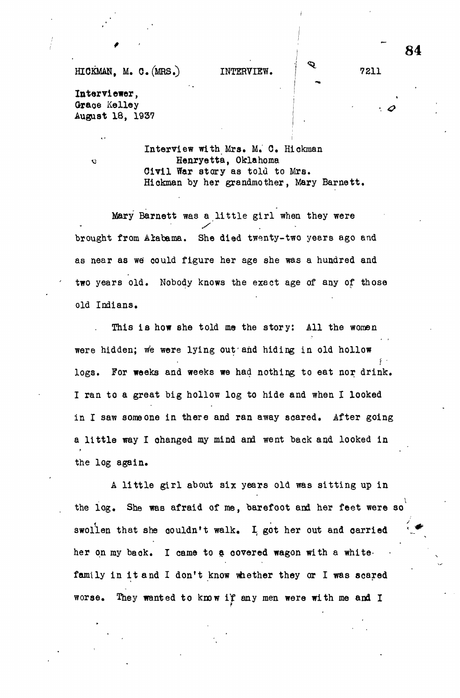HICKMAN, M. C. (MRS.) INTERVIEW. | 7211

**Interviewer,** Grace Kelley August 18, 1937

Ń.

Interview with Mrs. M. 0. Hiokman Henryetta, Oklahoma Oivil War story as told to Mrs. Hiokman by her grandmother, Mary Barnett.

Mary Barnett was a little girl when they were brought from Alabama. She died twenty-two years ago and as near as we could figure her age she was a hundred and two years old. Nobody knows the exact age of any of those old Indians.

This is how she told me the story: All the women were hidden; we were lying out and hiding in old hollow logs. For weeks and weeks we had nothing to eat nor drink. I ran to a great big hollow log to hide and when I looked in I saw someone in there and ran away scared. After going a little way I changed my mind and went back and looked in the log again.

A little girl about six years old was sitting up in the log. She was afraid of me, barefoot and her feet were so swollen that she couldn't walk. I got her out and carried her on my back. I came to a covered wagon with a whitefamily in it and I don't know whether they or I was scared worse. They wanted to know *it* any men were with me and I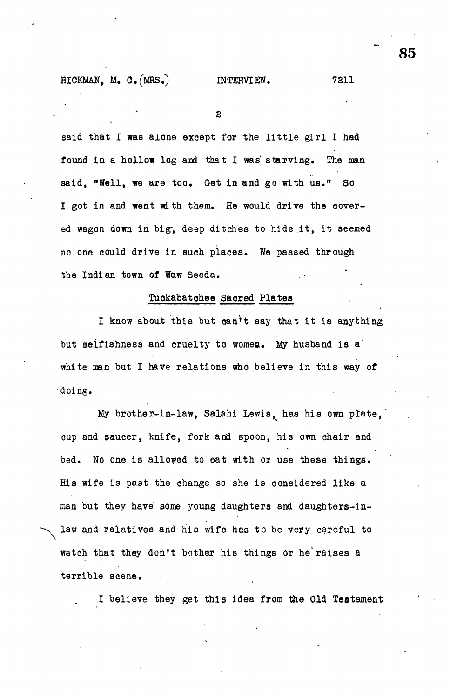$\overline{c}$ 

said that I was alone except for the little girl I had found in a hollow log and that I was starving. The man said, "Well, we are too. Get in and go with u<mark>s."</mark> So I got in and went with them. He would drive the covered wagon down in big, deep ditches to hide it, it seemed no one could drive in such places. We passed through the Indian town of Waw Seeda.

### Tuckabatchee Sacred Plates

I know about this but can't say that it is anything but selfishness and cruelty to women. My husband is a' white man but I have relations who believe in this way of •doing.

My brother-in-law, Salahi Lewis, has his own plate, cup and saucer, knife, fork and spoon, his own chair and bed. No one is allowed to eat with or use these things. His wife is past the change so she is considered like a man but they have some young daughters and daughters-inlaw and relatives and his wife has to be very careful to watch that they don't bother his things or he raises a terrible scene.

I believe they get this idea from the Old Testament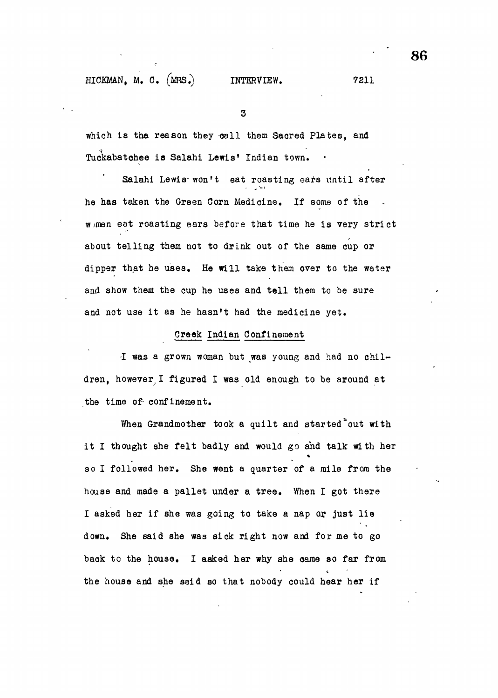$\overline{\mathbf{3}}$ 

which is the reason they call them Sacred Plates, and Tuckabatohee is Salahi Lewis' Indian town.

Salahi Lewis won't eat roasting ears until after he has taken the Green Corn Medicine. If some of the w men eat roasting ears before that time he is very strict about telling them not to drink out of the same cup or dipper that he uses. He will take them over to the water and show them the cup he uses and tell them to be sure and not use it as he hasn't had the medicine yet.

# Creek Indian Confinement

-I was a grown woman but was young and had no children, however, I figured I was old enough to be around at the time of confinement.

When Grandmother took a quilt and started out with it I thought she felt badly and would go and talk with her so I followed her. She went a quarter of a mile from the house and made a pallet under a tree. When I got there I asked her if she was going to take a nap or just lie down. She said she was sick right now and for me to go back to the house. I asked her why she came so far from the house and she said so that nobody could hear her if

**86**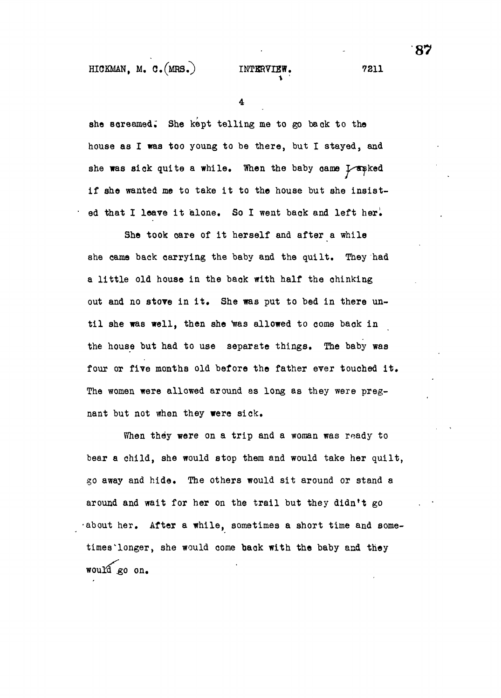$\mathbf{r}$ 

**87**

 $\ddagger$ 

she screamed. She kept telling me to go back to the house as I was too young to be there, but I stayed, and she was sick quite a while. When the baby came  $\mathcal{F}$  asked if she wanted me to take it to the house but she insisted that I leave it alone. So I went back and left her.

She took care of it herself and after a while she came back carrying the baby and the quilt. They had a little old house in the baok with half the chinking out and no stove in it. She was put to bed in there until she was well, then she was allowed to come back in the house but had to use separate things. The baby was four or five months old before the father ever touched it. The women were allowed around as long as they were pregnant but not when they were sick.

When they were on a trip and a woman was ready to bear a child, she would stop them and would take her quilt, go away and hide. The others would sit around or stand a around and wait for her on the trail but they didn't go about her. After a while, sometimes a short time and sometimes'longer, she would come back with the baby and they would go on.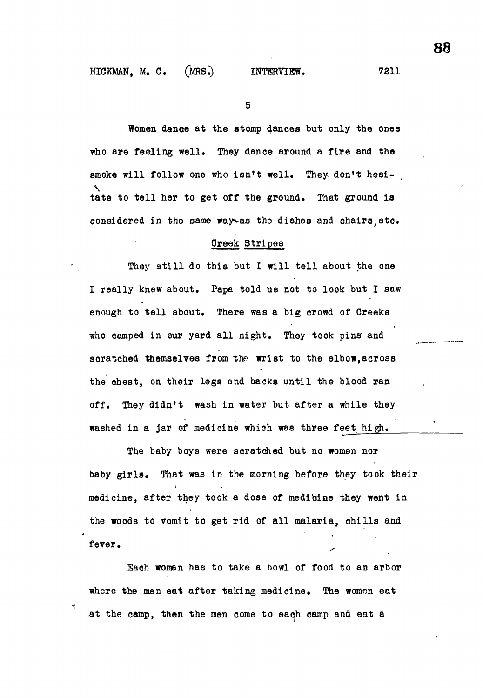$\overline{5}$ 

Women dance at the stomp dances but only the ones who are feeling well. They danoe around a fire and the smoke will follow one who isn't well. They don't hesitate to tell her to get off the ground. That ground is considered in the same way-as the dishes and chairs etc.

# Oreek Stripes

They still do this but I will tell about the one I really knew about. Papa told us not to look but I saw enough to tell about. There was a big crowd of Creeks who camped in our yard all night. They took pins and scratched themselves from the wrist to the elbow, across the ohest, on their legs and backs until the blood ran off. They didn't wash in water but after a while they washed in a Jar of medicine which was three feet high.

The baby boys were scratched but no women nor baby girls. That was in the morning before they took their medicine, after they took a dose of medi'oine they went in the woods to vomit to get rid of all malaria, chills and  $f$ ever.

Saoh woman has to take a bowl of food to an arbor where the men eat after taking medioine. The women eat at the camp, then the men come to each camp and eat a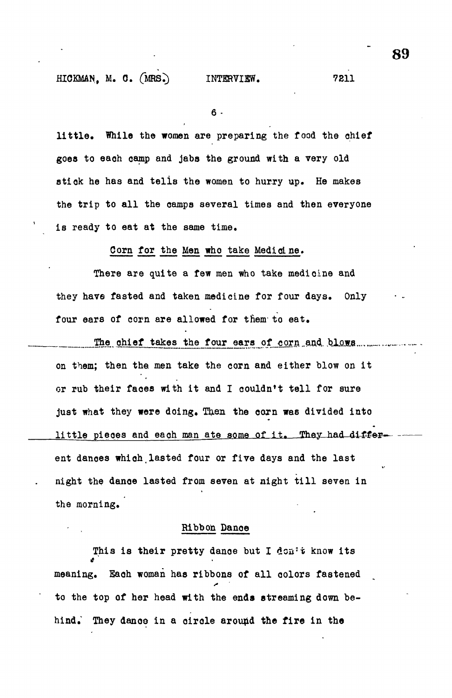**6 -**

**little. While the women are preparing the food the chief goes to eaoh camp and jaba the ground with a very old stiok he has and telis the women to hurry up. He makes the trip to all the camps several times and then everyone is ready to eat at the same time.**

Corn for the Men who take Medicine.

**There are quite a few men who take medioine and** they have fasted and taken medicine for four days. Only **four ears of corn are allowed for them- to eat.**

**The. oi^tm^§^&^^h:e^tona\_e&vai of\_corn \_a,n.d,. ,blo.S8..., \_\_,.\_..,..... on them; then the men take the corn and either blow on it or rub their faces with it and I couldn<sup>f</sup>t tell for sure** just what they were doing. Then the corn was divided into **little** pieces and each man ate some of it. They had **ent danoes which lasted four or five days and the last night the dance lasted from seven at night till seven in the morning.**

### **Ribbon Danoe**

**This is their pretty danoe but I dcn;i know its meaning. Each woman has ribbons of all colors fastened to the top of her head with the ends streaming down behind.\* They danoo in a cirole around the fire in the**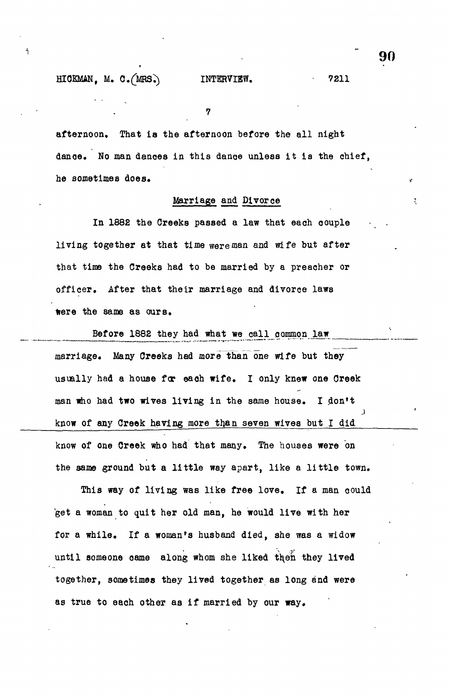# HICKMAN, M. C. (MRS.) INTERVIEW. 7211

7

afternoon, That ia the afternoon before the all night danoe. No man danoes in this danoe unless it is the chief, he sometimes does.

### Marriage and Divorce

In 1882 the Creeks passed a law that each couple living together at that time were man and wife but after that time the Creeks had to be married by a preacher or officer. After that their marriage and divorce laws were the same as ours.

Before 1882 they had what we call common law marriage. Many Creeks had more than one wife but they usually had a house for each wife. I only knew one Creek man who had two wives living in the same house. I don't know of any Creek having more than seven wives but I did know of one Creek who had that many. The houses were on the same ground but a little way apart, like a little town.

This way of living was like free love. If a man could get a woman to quit her old man, he would live with her for a while. If a woman's husband died, she was a widow until someone came along whom she liked then they lived together, sometimes they lived together as long and were as true to each other as if married by our way.

ţ.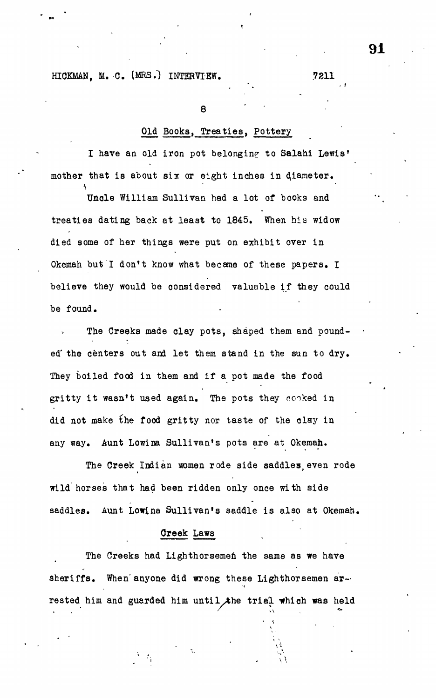HICKMAN, M. C. (MRS.) INTERVIEW. 7211

8 '

# Old Books, Treaties, Pottery

I have an old iron pot belonging to Salahi Lewis' mother that is about six or eight inches in diameter.

Unale William Sullivan had a lot of books and treaties dating back at least to 1845. When his widow died some of her things were put on exhibit over in Okemah but I don't know what became of these papers. I believe they would be considered valuable if they could be found.

The Creeks made clay pots, shaped them and pounded' the centers out and let them stand in the sun to dry. They boiled food in them and if a pot made the food gritty it wasn't used again. The pots they cooked in did not make the food gritty nor taste of the clay in any way. Aunt Lowina Sullivan's pots are at Okemah.

The Creek Indian women rode side saddles, even rode wild horses that had been ridden only once with side saddles. Aunt Lowina Sullivan's saddle is also at Okemah.

### Creek Laws

The Creeks had Lighthorsemen the same as we have sheriffs. When anyone did wrong these Lighthorsemen arrested him and guarded him until the trial which was held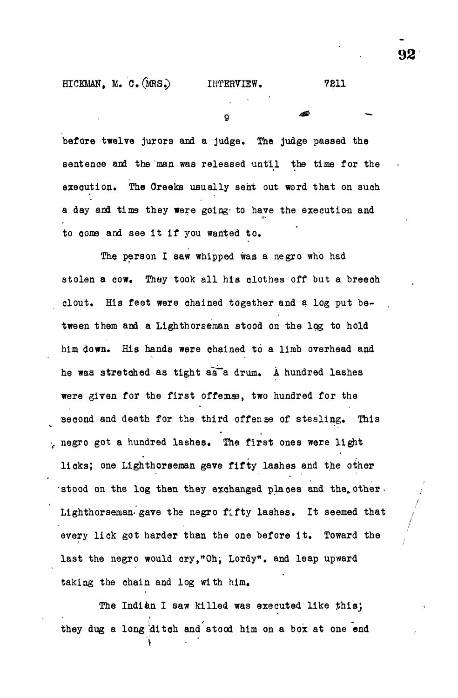HICKMAN, M. C.(MRS.) INTERVIEW. 7811

9 +

before twelve jurors and a judge. The judge passed the sentence and the man was released until the time for the exeoution. The Greeks usually sent out word that on such a day and time they were going to have the execution and to oome and see it if you wanted to.

The person I saw whipped was a negro who had stolen a cow. They took all his clothes off but a breeoh clout. His feet were chained together and a log put between them and a Lighthorseman stood on the log to hold him down. His hands were chained to a limb overhead and he was stretched as tight as a drum. A hundred lashes were given for the first offense, two hundred for the second and death for the third offense of stealing. This . negro got a hundred lashes. The first ones were light licks; one Lighthorseman gave fifty lashes and the other ·stood on the log then they exchanged places and the other. Lighthorseman- gave the negro fifty lashes. It seemed that every lick got harder than the one before it. Toward the last the negro would cry, "Oh, Lordy". and leap upward taking the chain and log with him.

The Indian I saw killed was executed like this; they dug a long "di ton and stood him on a box at one end /